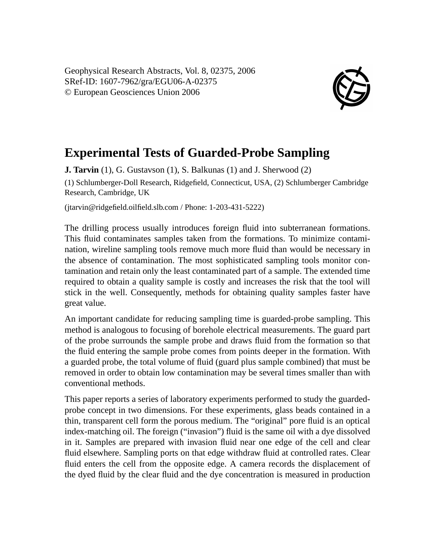Geophysical Research Abstracts, Vol. 8, 02375, 2006 SRef-ID: 1607-7962/gra/EGU06-A-02375 © European Geosciences Union 2006



## **Experimental Tests of Guarded-Probe Sampling**

**J. Tarvin** (1), G. Gustavson (1), S. Balkunas (1) and J. Sherwood (2) (1) Schlumberger-Doll Research, Ridgefield, Connecticut, USA, (2) Schlumberger Cambridge Research, Cambridge, UK

(jtarvin@ridgefield.oilfield.slb.com / Phone: 1-203-431-5222)

The drilling process usually introduces foreign fluid into subterranean formations. This fluid contaminates samples taken from the formations. To minimize contamination, wireline sampling tools remove much more fluid than would be necessary in the absence of contamination. The most sophisticated sampling tools monitor contamination and retain only the least contaminated part of a sample. The extended time required to obtain a quality sample is costly and increases the risk that the tool will stick in the well. Consequently, methods for obtaining quality samples faster have great value.

An important candidate for reducing sampling time is guarded-probe sampling. This method is analogous to focusing of borehole electrical measurements. The guard part of the probe surrounds the sample probe and draws fluid from the formation so that the fluid entering the sample probe comes from points deeper in the formation. With a guarded probe, the total volume of fluid (guard plus sample combined) that must be removed in order to obtain low contamination may be several times smaller than with conventional methods.

This paper reports a series of laboratory experiments performed to study the guardedprobe concept in two dimensions. For these experiments, glass beads contained in a thin, transparent cell form the porous medium. The "original" pore fluid is an optical index-matching oil. The foreign ("invasion") fluid is the same oil with a dye dissolved in it. Samples are prepared with invasion fluid near one edge of the cell and clear fluid elsewhere. Sampling ports on that edge withdraw fluid at controlled rates. Clear fluid enters the cell from the opposite edge. A camera records the displacement of the dyed fluid by the clear fluid and the dye concentration is measured in production